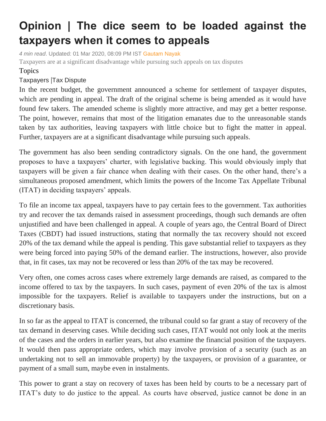## **Opinion | The dice seem to be loaded against the taxpayers when it comes to appeals**

*4 min read*. Updated: 01 Mar 2020, 08:09 PM IST [Gautam Nayak](https://www.livemint.com/Search/Link/Author/Gautam%20Nayak) Taxpayers are at a significant disadvantage while pursuing such appeals on tax disputes

## Topics

## [Taxpayers](https://www.livemint.com/topic/taxpayers) |[Tax Dispute](https://www.livemint.com/topic/tax-dispute)

In the recent budget, the government announced a scheme for settlement of taxpayer disputes, which are pending in appeal. The draft of the original scheme is being amended as it would have found few takers. The amended scheme is slightly more attractive, and may get a better response. The point, however, remains that most of the litigation emanates due to the unreasonable stands taken by tax authorities, leaving taxpayers with little choice but to fight the matter in appeal. Further, taxpayers are at a significant disadvantage while pursuing such appeals.

The government has also been sending contradictory signals. On the one hand, the government proposes to have a taxpayers' charter, with legislative backing. This would obviously imply that taxpayers will be given a fair chance when dealing with their cases. On the other hand, there's a simultaneous proposed amendment, which limits the powers of the Income Tax Appellate Tribunal (ITAT) in deciding taxpayers' appeals.

To file an income tax appeal, taxpayers have to pay certain fees to the government. Tax authorities try and recover the tax demands raised in assessment proceedings, though such demands are often unjustified and have been challenged in appeal. A couple of years ago, the Central Board of Direct Taxes (CBDT) had issued instructions, stating that normally the tax recovery should not exceed 20% of the tax demand while the appeal is pending. This gave substantial relief to taxpayers as they were being forced into paying 50% of the demand earlier. The instructions, however, also provide that, in fit cases, tax may not be recovered or less than 20% of the tax may be recovered.

Very often, one comes across cases where extremely large demands are raised, as compared to the income offered to tax by the taxpayers. In such cases, payment of even 20% of the tax is almost impossible for the taxpayers. Relief is available to taxpayers under the instructions, but on a discretionary basis.

In so far as the appeal to ITAT is concerned, the tribunal could so far grant a stay of recovery of the tax demand in deserving cases. While deciding such cases, ITAT would not only look at the merits of the cases and the orders in earlier years, but also examine the financial position of the taxpayers. It would then pass appropriate orders, which may involve provision of a security (such as an undertaking not to sell an immovable property) by the taxpayers, or provision of a guarantee, or payment of a small sum, maybe even in instalments.

This power to grant a stay on recovery of taxes has been held by courts to be a necessary part of ITAT's duty to do justice to the appeal. As courts have observed, justice cannot be done in an